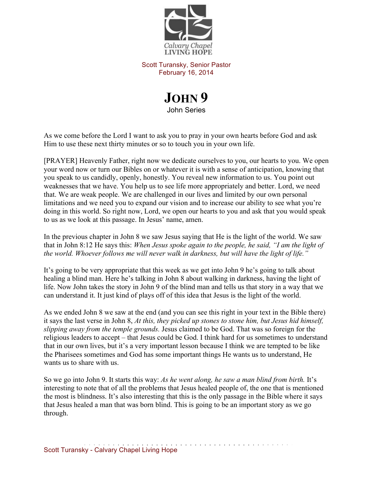

Scott Turansky, Senior Pastor February 16, 2014

## **JOHN 9** John Series

As we come before the Lord I want to ask you to pray in your own hearts before God and ask Him to use these next thirty minutes or so to touch you in your own life.

[PRAYER] Heavenly Father, right now we dedicate ourselves to you, our hearts to you. We open your word now or turn our Bibles on or whatever it is with a sense of anticipation, knowing that you speak to us candidly, openly, honestly. You reveal new information to us. You point out weaknesses that we have. You help us to see life more appropriately and better. Lord, we need that. We are weak people. We are challenged in our lives and limited by our own personal limitations and we need you to expand our vision and to increase our ability to see what you're doing in this world. So right now, Lord, we open our hearts to you and ask that you would speak to us as we look at this passage. In Jesus' name, amen.

In the previous chapter in John 8 we saw Jesus saying that He is the light of the world. We saw that in John 8:12 He says this: *When Jesus spoke again to the people, he said, "I am the light of the world. Whoever follows me will never walk in darkness, but will have the light of life."* 

It's going to be very appropriate that this week as we get into John 9 he's going to talk about healing a blind man. Here he's talking in John 8 about walking in darkness, having the light of life. Now John takes the story in John 9 of the blind man and tells us that story in a way that we can understand it. It just kind of plays off of this idea that Jesus is the light of the world.

As we ended John 8 we saw at the end (and you can see this right in your text in the Bible there) it says the last verse in John 8, *At this, they picked up stones to stone him, but Jesus hid himself, slipping away from the temple grounds.* Jesus claimed to be God. That was so foreign for the religious leaders to accept – that Jesus could be God. I think hard for us sometimes to understand that in our own lives, but it's a very important lesson because I think we are tempted to be like the Pharisees sometimes and God has some important things He wants us to understand, He wants us to share with us.

So we go into John 9. It starts this way: *As he went along, he saw a man blind from birth.* It's interesting to note that of all the problems that Jesus healed people of, the one that is mentioned the most is blindness. It's also interesting that this is the only passage in the Bible where it says that Jesus healed a man that was born blind. This is going to be an important story as we go through.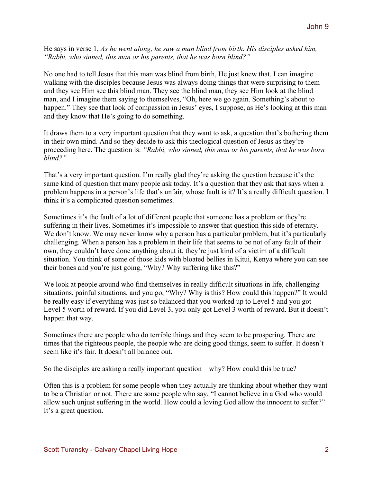He says in verse 1, *As he went along, he saw a man blind from birth. His disciples asked him, "Rabbi, who sinned, this man or his parents, that he was born blind?"*

No one had to tell Jesus that this man was blind from birth, He just knew that. I can imagine walking with the disciples because Jesus was always doing things that were surprising to them and they see Him see this blind man. They see the blind man, they see Him look at the blind man, and I imagine them saying to themselves, "Oh, here we go again. Something's about to happen." They see that look of compassion in Jesus' eyes, I suppose, as He's looking at this man and they know that He's going to do something.

It draws them to a very important question that they want to ask, a question that's bothering them in their own mind. And so they decide to ask this theological question of Jesus as they're proceeding here. The question is: *"Rabbi, who sinned, this man or his parents, that he was born blind?"* 

That's a very important question. I'm really glad they're asking the question because it's the same kind of question that many people ask today. It's a question that they ask that says when a problem happens in a person's life that's unfair, whose fault is it? It's a really difficult question. I think it's a complicated question sometimes.

Sometimes it's the fault of a lot of different people that someone has a problem or they're suffering in their lives. Sometimes it's impossible to answer that question this side of eternity. We don't know. We may never know why a person has a particular problem, but it's particularly challenging. When a person has a problem in their life that seems to be not of any fault of their own, they couldn't have done anything about it, they're just kind of a victim of a difficult situation. You think of some of those kids with bloated bellies in Kitui, Kenya where you can see their bones and you're just going, "Why? Why suffering like this?"

We look at people around who find themselves in really difficult situations in life, challenging situations, painful situations, and you go, "Why? Why is this? How could this happen?" It would be really easy if everything was just so balanced that you worked up to Level 5 and you got Level 5 worth of reward. If you did Level 3, you only got Level 3 worth of reward. But it doesn't happen that way.

Sometimes there are people who do terrible things and they seem to be prospering. There are times that the righteous people, the people who are doing good things, seem to suffer. It doesn't seem like it's fair. It doesn't all balance out.

So the disciples are asking a really important question – why? How could this be true?

Often this is a problem for some people when they actually are thinking about whether they want to be a Christian or not. There are some people who say, "I cannot believe in a God who would allow such unjust suffering in the world. How could a loving God allow the innocent to suffer?" It's a great question.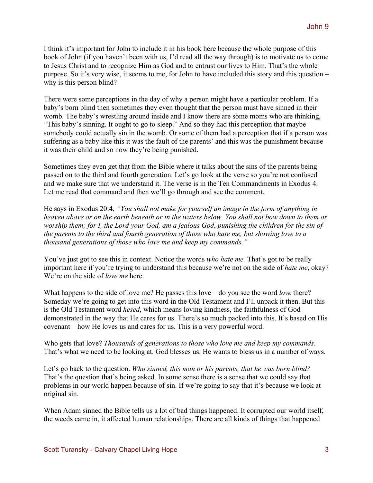I think it's important for John to include it in his book here because the whole purpose of this book of John (if you haven't been with us, I'd read all the way through) is to motivate us to come to Jesus Christ and to recognize Him as God and to entrust our lives to Him. That's the whole purpose. So it's very wise, it seems to me, for John to have included this story and this question – why is this person blind?

There were some perceptions in the day of why a person might have a particular problem. If a baby's born blind then sometimes they even thought that the person must have sinned in their womb. The baby's wrestling around inside and I know there are some moms who are thinking, "This baby's sinning. It ought to go to sleep." And so they had this perception that maybe somebody could actually sin in the womb. Or some of them had a perception that if a person was suffering as a baby like this it was the fault of the parents' and this was the punishment because it was their child and so now they're being punished.

Sometimes they even get that from the Bible where it talks about the sins of the parents being passed on to the third and fourth generation. Let's go look at the verse so you're not confused and we make sure that we understand it. The verse is in the Ten Commandments in Exodus 4. Let me read that command and then we'll go through and see the comment.

He says in Exodus 20:4, *"You shall not make for yourself an image in the form of anything in heaven above or on the earth beneath or in the waters below. You shall not bow down to them or worship them; for I, the Lord your God, am a jealous God, punishing the children for the sin of the parents to the third and fourth generation of those who hate me, but showing love to a thousand generations of those who love me and keep my commands."*

You've just got to see this in context. Notice the words *who hate me*. That's got to be really important here if you're trying to understand this because we're not on the side of *hate me*, okay? We're on the side of *love me* here.

What happens to the side of love me? He passes this love – do you see the word *love* there? Someday we're going to get into this word in the Old Testament and I'll unpack it then. But this is the Old Testament word *hesed*, which means loving kindness, the faithfulness of God demonstrated in the way that He cares for us. There's so much packed into this. It's based on His covenant – how He loves us and cares for us. This is a very powerful word.

Who gets that love? *Thousands of generations to those who love me and keep my commands*. That's what we need to be looking at. God blesses us. He wants to bless us in a number of ways.

Let's go back to the question. *Who sinned, this man or his parents, that he was born blind?* That's the question that's being asked. In some sense there is a sense that we could say that problems in our world happen because of sin. If we're going to say that it's because we look at original sin.

When Adam sinned the Bible tells us a lot of bad things happened. It corrupted our world itself, the weeds came in, it affected human relationships. There are all kinds of things that happened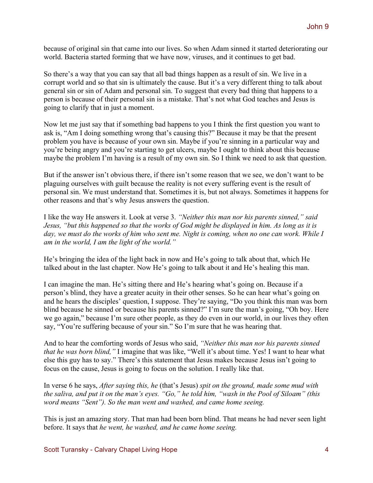because of original sin that came into our lives. So when Adam sinned it started deteriorating our world. Bacteria started forming that we have now, viruses, and it continues to get bad.

So there's a way that you can say that all bad things happen as a result of sin. We live in a corrupt world and so that sin is ultimately the cause. But it's a very different thing to talk about general sin or sin of Adam and personal sin. To suggest that every bad thing that happens to a person is because of their personal sin is a mistake. That's not what God teaches and Jesus is going to clarify that in just a moment.

Now let me just say that if something bad happens to you I think the first question you want to ask is, "Am I doing something wrong that's causing this?" Because it may be that the present problem you have is because of your own sin. Maybe if you're sinning in a particular way and you're being angry and you're starting to get ulcers, maybe I ought to think about this because maybe the problem I'm having is a result of my own sin. So I think we need to ask that question.

But if the answer isn't obvious there, if there isn't some reason that we see, we don't want to be plaguing ourselves with guilt because the reality is not every suffering event is the result of personal sin. We must understand that. Sometimes it is, but not always. Sometimes it happens for other reasons and that's why Jesus answers the question.

I like the way He answers it. Look at verse 3. *"Neither this man nor his parents sinned," said Jesus, "but this happened so that the works of God might be displayed in him. As long as it is day, we must do the works of him who sent me. Night is coming, when no one can work. While I am in the world, I am the light of the world."*

He's bringing the idea of the light back in now and He's going to talk about that, which He talked about in the last chapter. Now He's going to talk about it and He's healing this man.

I can imagine the man. He's sitting there and He's hearing what's going on. Because if a person's blind, they have a greater acuity in their other senses. So he can hear what's going on and he hears the disciples' question, I suppose. They're saying, "Do you think this man was born blind because he sinned or because his parents sinned?" I'm sure the man's going, "Oh boy. Here we go again," because I'm sure other people, as they do even in our world, in our lives they often say, "You're suffering because of your sin." So I'm sure that he was hearing that.

And to hear the comforting words of Jesus who said, *"Neither this man nor his parents sinned that he was born blind,"* I imagine that was like, "Well it's about time. Yes! I want to hear what else this guy has to say." There's this statement that Jesus makes because Jesus isn't going to focus on the cause, Jesus is going to focus on the solution. I really like that.

In verse 6 he says, *After saying this, he* (that's Jesus) *spit on the ground, made some mud with the saliva, and put it on the man's eyes. "Go," he told him, "wash in the Pool of Siloam" (this word means "Sent"). So the man went and washed, and came home seeing.*

This is just an amazing story. That man had been born blind. That means he had never seen light before. It says that *he went, he washed, and he came home seeing.*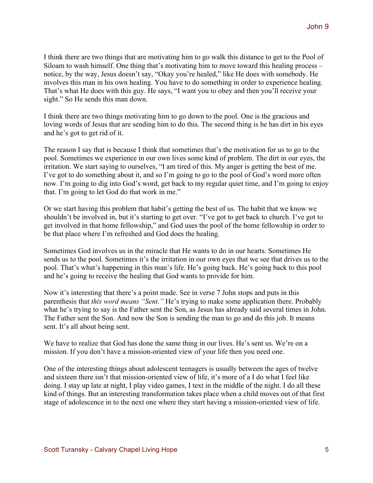I think there are two things that are motivating him to go walk this distance to get to the Pool of Siloam to wash himself. One thing that's motivating him to move toward this healing process – notice, by the way, Jesus doesn't say, "Okay you're healed," like He does with somebody. He involves this man in his own healing. You have to do something in order to experience healing. That's what He does with this guy. He says, "I want you to obey and then you'll receive your sight." So He sends this man down.

I think there are two things motivating him to go down to the pool. One is the gracious and loving words of Jesus that are sending him to do this. The second thing is he has dirt in his eyes and he's got to get rid of it.

The reason I say that is because I think that sometimes that's the motivation for us to go to the pool. Sometimes we experience in our own lives some kind of problem. The dirt in our eyes, the irritation. We start saying to ourselves, "I am tired of this. My anger is getting the best of me. I've got to do something about it, and so I'm going to go to the pool of God's word more often now. I'm going to dig into God's word, get back to my regular quiet time, and I'm going to enjoy that. I'm going to let God do that work in me."

Or we start having this problem that habit's getting the best of us. The habit that we know we shouldn't be involved in, but it's starting to get over. "I've got to get back to church. I've got to get involved in that home fellowship," and God uses the pool of the home fellowship in order to be that place where I'm refreshed and God does the healing.

Sometimes God involves us in the miracle that He wants to do in our hearts. Sometimes He sends us to the pool. Sometimes it's the irritation in our own eyes that we see that drives us to the pool. That's what's happening in this man's life. He's going back. He's going back to this pool and he's going to receive the healing that God wants to provide for him.

Now it's interesting that there's a point made. See in verse 7 John stops and puts in this parenthesis that *this word means "Sent."* He's trying to make some application there. Probably what he's trying to say is the Father sent the Son, as Jesus has already said several times in John. The Father sent the Son. And now the Son is sending the man to go and do this job. It means sent. It's all about being sent.

We have to realize that God has done the same thing in our lives. He's sent us. We're on a mission. If you don't have a mission-oriented view of your life then you need one.

One of the interesting things about adolescent teenagers is usually between the ages of twelve and sixteen there isn't that mission-oriented view of life, it's more of a I do what I feel like doing. I stay up late at night, I play video games, I text in the middle of the night. I do all these kind of things. But an interesting transformation takes place when a child moves out of that first stage of adolescence in to the next one where they start having a mission-oriented view of life.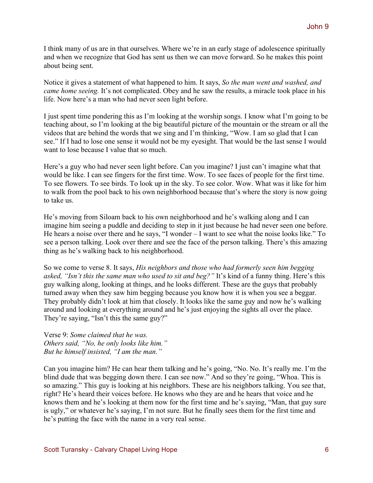I think many of us are in that ourselves. Where we're in an early stage of adolescence spiritually and when we recognize that God has sent us then we can move forward. So he makes this point about being sent.

Notice it gives a statement of what happened to him. It says, *So the man went and washed, and came home seeing.* It's not complicated. Obey and he saw the results, a miracle took place in his life. Now here's a man who had never seen light before.

I just spent time pondering this as I'm looking at the worship songs. I know what I'm going to be teaching about, so I'm looking at the big beautiful picture of the mountain or the stream or all the videos that are behind the words that we sing and I'm thinking, "Wow. I am so glad that I can see." If I had to lose one sense it would not be my eyesight. That would be the last sense I would want to lose because I value that so much.

Here's a guy who had never seen light before. Can you imagine? I just can't imagine what that would be like. I can see fingers for the first time. Wow. To see faces of people for the first time. To see flowers. To see birds. To look up in the sky. To see color. Wow. What was it like for him to walk from the pool back to his own neighborhood because that's where the story is now going to take us.

He's moving from Siloam back to his own neighborhood and he's walking along and I can imagine him seeing a puddle and deciding to step in it just because he had never seen one before. He hears a noise over there and he says, "I wonder – I want to see what the noise looks like." To see a person talking. Look over there and see the face of the person talking. There's this amazing thing as he's walking back to his neighborhood.

So we come to verse 8. It says, *His neighbors and those who had formerly seen him begging asked, "Isn't this the same man who used to sit and beg?"* It's kind of a funny thing. Here's this guy walking along, looking at things, and he looks different. These are the guys that probably turned away when they saw him begging because you know how it is when you see a beggar. They probably didn't look at him that closely. It looks like the same guy and now he's walking around and looking at everything around and he's just enjoying the sights all over the place. They're saying, "Isn't this the same guy?"

Verse 9: *Some claimed that he was. Others said, "No, he only looks like him." But he himself insisted, "I am the man."*

Can you imagine him? He can hear them talking and he's going, "No. No. It's really me. I'm the blind dude that was begging down there. I can see now." And so they're going, "Whoa. This is so amazing." This guy is looking at his neighbors. These are his neighbors talking. You see that, right? He's heard their voices before. He knows who they are and he hears that voice and he knows them and he's looking at them now for the first time and he's saying, "Man, that guy sure is ugly," or whatever he's saying, I'm not sure. But he finally sees them for the first time and he's putting the face with the name in a very real sense.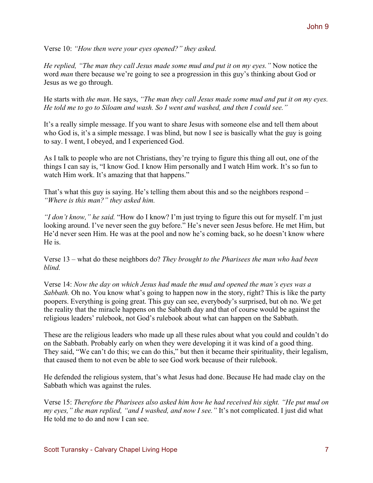Verse 10: *"How then were your eyes opened?" they asked.*

*He replied, "The man they call Jesus made some mud and put it on my eyes."* Now notice the word *man* there because we're going to see a progression in this guy's thinking about God or Jesus as we go through.

He starts with *the man*. He says, *"The man they call Jesus made some mud and put it on my eyes. He told me to go to Siloam and wash. So I went and washed, and then I could see."*

It's a really simple message. If you want to share Jesus with someone else and tell them about who God is, it's a simple message. I was blind, but now I see is basically what the guy is going to say. I went, I obeyed, and I experienced God.

As I talk to people who are not Christians, they're trying to figure this thing all out, one of the things I can say is, "I know God. I know Him personally and I watch Him work. It's so fun to watch Him work. It's amazing that that happens."

That's what this guy is saying. He's telling them about this and so the neighbors respond – *"Where is this man?" they asked him.*

*"I don't know," he said.* "How do I know? I'm just trying to figure this out for myself. I'm just looking around. I've never seen the guy before." He's never seen Jesus before. He met Him, but He'd never seen Him. He was at the pool and now he's coming back, so he doesn't know where He is.

Verse 13 – what do these neighbors do? *They brought to the Pharisees the man who had been blind.* 

Verse 14: *Now the day on which Jesus had made the mud and opened the man's eyes was a Sabbath*. Oh no. You know what's going to happen now in the story, right? This is like the party poopers. Everything is going great. This guy can see, everybody's surprised, but oh no. We get the reality that the miracle happens on the Sabbath day and that of course would be against the religious leaders' rulebook, not God's rulebook about what can happen on the Sabbath.

These are the religious leaders who made up all these rules about what you could and couldn't do on the Sabbath. Probably early on when they were developing it it was kind of a good thing. They said, "We can't do this; we can do this," but then it became their spirituality, their legalism, that caused them to not even be able to see God work because of their rulebook.

He defended the religious system, that's what Jesus had done. Because He had made clay on the Sabbath which was against the rules.

Verse 15: *Therefore the Pharisees also asked him how he had received his sight. "He put mud on my eyes," the man replied, "and I washed, and now I see."* It's not complicated. I just did what He told me to do and now I can see.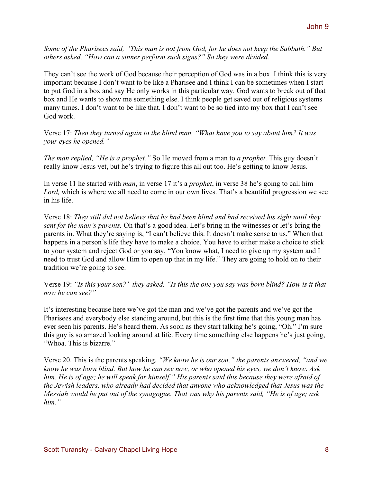*Some of the Pharisees said, "This man is not from God, for he does not keep the Sabbath." But others asked, "How can a sinner perform such signs?" So they were divided.*

They can't see the work of God because their perception of God was in a box. I think this is very important because I don't want to be like a Pharisee and I think I can be sometimes when I start to put God in a box and say He only works in this particular way. God wants to break out of that box and He wants to show me something else. I think people get saved out of religious systems many times. I don't want to be like that. I don't want to be so tied into my box that I can't see God work.

Verse 17: *Then they turned again to the blind man, "What have you to say about him? It was your eyes he opened."*

*The man replied, "He is a prophet."* So He moved from a man to *a prophet*. This guy doesn't really know Jesus yet, but he's trying to figure this all out too. He's getting to know Jesus.

In verse 11 he started with *man*, in verse 17 it's a *prophet*, in verse 38 he's going to call him *Lord,* which is where we all need to come in our own lives. That's a beautiful progression we see in his life.

Verse 18: *They still did not believe that he had been blind and had received his sight until they sent for the man's parents.* Oh that's a good idea. Let's bring in the witnesses or let's bring the parents in. What they're saying is, "I can't believe this. It doesn't make sense to us." When that happens in a person's life they have to make a choice. You have to either make a choice to stick to your system and reject God or you say, "You know what, I need to give up my system and I need to trust God and allow Him to open up that in my life." They are going to hold on to their tradition we're going to see.

Verse 19: *"Is this your son?" they asked. "Is this the one you say was born blind? How is it that now he can see?"*

It's interesting because here we've got the man and we've got the parents and we've got the Pharisees and everybody else standing around, but this is the first time that this young man has ever seen his parents. He's heard them. As soon as they start talking he's going, "Oh." I'm sure this guy is so amazed looking around at life. Every time something else happens he's just going, "Whoa This is bizarre."

Verse 20. This is the parents speaking. *"We know he is our son," the parents answered, "and we know he was born blind. But how he can see now, or who opened his eyes, we don't know. Ask him. He is of age; he will speak for himself." His parents said this because they were afraid of the Jewish leaders, who already had decided that anyone who acknowledged that Jesus was the Messiah would be put out of the synagogue. That was why his parents said, "He is of age; ask him."*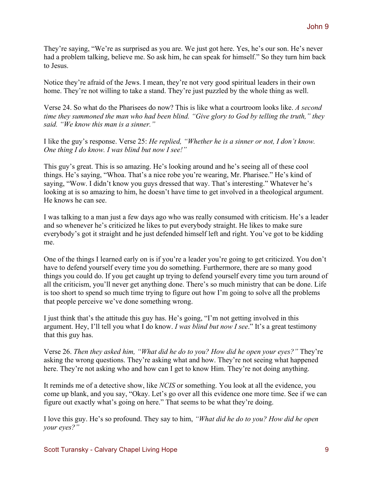They're saying, "We're as surprised as you are. We just got here. Yes, he's our son. He's never had a problem talking, believe me. So ask him, he can speak for himself." So they turn him back to Jesus.

Notice they're afraid of the Jews. I mean, they're not very good spiritual leaders in their own home. They're not willing to take a stand. They're just puzzled by the whole thing as well.

Verse 24. So what do the Pharisees do now? This is like what a courtroom looks like. *A second time they summoned the man who had been blind. "Give glory to God by telling the truth," they said. "We know this man is a sinner."*

I like the guy's response. Verse 25: *He replied, "Whether he is a sinner or not, I don't know. One thing I do know. I was blind but now I see!"*

This guy's great. This is so amazing. He's looking around and he's seeing all of these cool things. He's saying, "Whoa. That's a nice robe you're wearing, Mr. Pharisee." He's kind of saying, "Wow. I didn't know you guys dressed that way. That's interesting." Whatever he's looking at is so amazing to him, he doesn't have time to get involved in a theological argument. He knows he can see.

I was talking to a man just a few days ago who was really consumed with criticism. He's a leader and so whenever he's criticized he likes to put everybody straight. He likes to make sure everybody's got it straight and he just defended himself left and right. You've got to be kidding me.

One of the things I learned early on is if you're a leader you're going to get criticized. You don't have to defend yourself every time you do something. Furthermore, there are so many good things you could do. If you get caught up trying to defend yourself every time you turn around of all the criticism, you'll never get anything done. There's so much ministry that can be done. Life is too short to spend so much time trying to figure out how I'm going to solve all the problems that people perceive we've done something wrong.

I just think that's the attitude this guy has. He's going, "I'm not getting involved in this argument. Hey, I'll tell you what I do know. *I was blind but now I see*." It's a great testimony that this guy has.

Verse 26. *Then they asked him, "What did he do to you? How did he open your eyes?"* They're asking the wrong questions. They're asking what and how. They're not seeing what happened here. They're not asking who and how can I get to know Him. They're not doing anything.

It reminds me of a detective show, like *NCIS* or something. You look at all the evidence, you come up blank, and you say, "Okay. Let's go over all this evidence one more time. See if we can figure out exactly what's going on here." That seems to be what they're doing.

I love this guy. He's so profound. They say to him, *"What did he do to you? How did he open your eyes?"*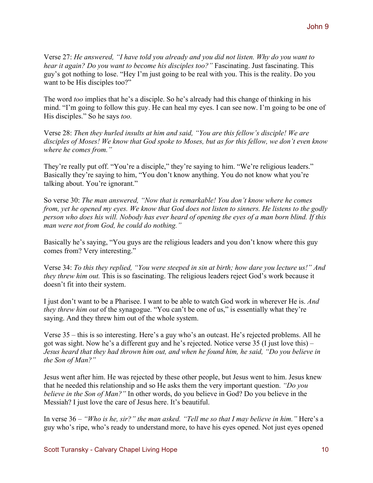Verse 27: *He answered, "I have told you already and you did not listen. Why do you want to hear it again? Do you want to become his disciples too?"* Fascinating. Just fascinating. This guy's got nothing to lose. "Hey I'm just going to be real with you. This is the reality. Do you want to be His disciples too?"

The word *too* implies that he's a disciple. So he's already had this change of thinking in his mind. "I'm going to follow this guy. He can heal my eyes. I can see now. I'm going to be one of His disciples." So he says *too.*

Verse 28: *Then they hurled insults at him and said, "You are this fellow's disciple! We are disciples of Moses! We know that God spoke to Moses, but as for this fellow, we don't even know where he comes from."*

They're really put off. "You're a disciple," they're saying to him. "We're religious leaders." Basically they're saying to him, "You don't know anything. You do not know what you're talking about. You're ignorant."

So verse 30: *The man answered, "Now that is remarkable! You don't know where he comes from, yet he opened my eyes. We know that God does not listen to sinners. He listens to the godly person who does his will. Nobody has ever heard of opening the eyes of a man born blind. If this man were not from God, he could do nothing."*

Basically he's saying, "You guys are the religious leaders and you don't know where this guy comes from? Very interesting."

Verse 34: *To this they replied, "You were steeped in sin at birth; how dare you lecture us!" And they threw him out.* This is so fascinating. The religious leaders reject God's work because it doesn't fit into their system.

I just don't want to be a Pharisee. I want to be able to watch God work in wherever He is. *And they threw him out* of the synagogue. "You can't be one of us," is essentially what they're saying. And they threw him out of the whole system.

Verse 35 – this is so interesting. Here's a guy who's an outcast. He's rejected problems. All he got was sight. Now he's a different guy and he's rejected. Notice verse 35 (I just love this) – *Jesus heard that they had thrown him out, and when he found him, he said, "Do you believe in the Son of Man?"*

Jesus went after him. He was rejected by these other people, but Jesus went to him. Jesus knew that he needed this relationship and so He asks them the very important question. *"Do you believe in the Son of Man?"* In other words, do you believe in God? Do you believe in the Messiah? I just love the care of Jesus here. It's beautiful.

In verse 36 – *"Who is he, sir?" the man asked. "Tell me so that I may believe in him."* Here's a guy who's ripe, who's ready to understand more, to have his eyes opened. Not just eyes opened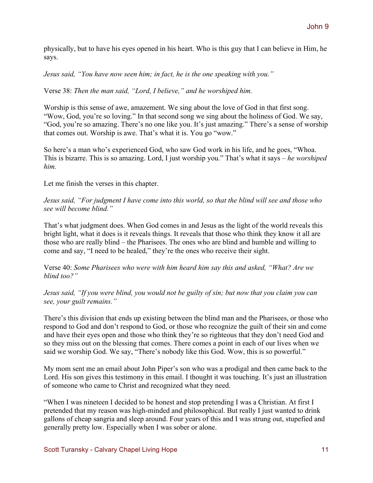physically, but to have his eyes opened in his heart. Who is this guy that I can believe in Him, he says.

*Jesus said, "You have now seen him; in fact, he is the one speaking with you."*

Verse 38: *Then the man said, "Lord, I believe," and he worshiped him.*

Worship is this sense of awe, amazement. We sing about the love of God in that first song. "Wow, God, you're so loving." In that second song we sing about the holiness of God. We say, "God, you're so amazing. There's no one like you. It's just amazing." There's a sense of worship that comes out. Worship is awe. That's what it is. You go "wow."

So here's a man who's experienced God, who saw God work in his life, and he goes, "Whoa. This is bizarre. This is so amazing. Lord, I just worship you." That's what it says – *he worshiped him.* 

Let me finish the verses in this chapter.

*Jesus said, "For judgment I have come into this world, so that the blind will see and those who see will become blind."*

That's what judgment does. When God comes in and Jesus as the light of the world reveals this bright light, what it does is it reveals things. It reveals that those who think they know it all are those who are really blind – the Pharisees. The ones who are blind and humble and willing to come and say, "I need to be healed," they're the ones who receive their sight.

Verse 40: *Some Pharisees who were with him heard him say this and asked, "What? Are we blind too?"*

*Jesus said, "If you were blind, you would not be guilty of sin; but now that you claim you can see, your guilt remains."*

There's this division that ends up existing between the blind man and the Pharisees, or those who respond to God and don't respond to God, or those who recognize the guilt of their sin and come and have their eyes open and those who think they're so righteous that they don't need God and so they miss out on the blessing that comes. There comes a point in each of our lives when we said we worship God. We say, "There's nobody like this God. Wow, this is so powerful."

My mom sent me an email about John Piper's son who was a prodigal and then came back to the Lord. His son gives this testimony in this email. I thought it was touching. It's just an illustration of someone who came to Christ and recognized what they need.

"When I was nineteen I decided to be honest and stop pretending I was a Christian. At first I pretended that my reason was high-minded and philosophical. But really I just wanted to drink gallons of cheap sangria and sleep around. Four years of this and I was strung out, stupefied and generally pretty low. Especially when I was sober or alone.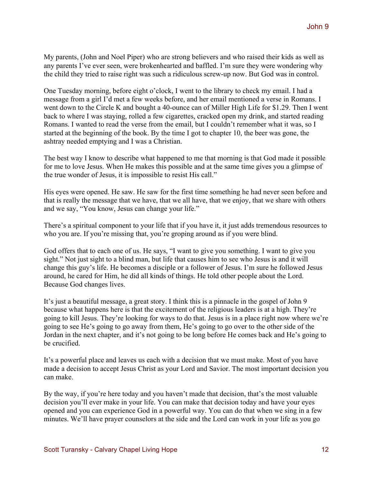My parents, (John and Noel Piper) who are strong believers and who raised their kids as well as any parents I've ever seen, were brokenhearted and baffled. I'm sure they were wondering why the child they tried to raise right was such a ridiculous screw-up now. But God was in control.

One Tuesday morning, before eight o'clock, I went to the library to check my email. I had a message from a girl I'd met a few weeks before, and her email mentioned a verse in Romans. I went down to the Circle K and bought a 40-ounce can of Miller High Life for \$1.29. Then I went back to where I was staying, rolled a few cigarettes, cracked open my drink, and started reading Romans. I wanted to read the verse from the email, but I couldn't remember what it was, so I started at the beginning of the book. By the time I got to chapter 10, the beer was gone, the ashtray needed emptying and I was a Christian.

The best way I know to describe what happened to me that morning is that God made it possible for me to love Jesus. When He makes this possible and at the same time gives you a glimpse of the true wonder of Jesus, it is impossible to resist His call."

His eyes were opened. He saw. He saw for the first time something he had never seen before and that is really the message that we have, that we all have, that we enjoy, that we share with others and we say, "You know, Jesus can change your life."

There's a spiritual component to your life that if you have it, it just adds tremendous resources to who you are. If you're missing that, you're groping around as if you were blind.

God offers that to each one of us. He says, "I want to give you something. I want to give you sight." Not just sight to a blind man, but life that causes him to see who Jesus is and it will change this guy's life. He becomes a disciple or a follower of Jesus. I'm sure he followed Jesus around, he cared for Him, he did all kinds of things. He told other people about the Lord. Because God changes lives.

It's just a beautiful message, a great story. I think this is a pinnacle in the gospel of John 9 because what happens here is that the excitement of the religious leaders is at a high. They're going to kill Jesus. They're looking for ways to do that. Jesus is in a place right now where we're going to see He's going to go away from them, He's going to go over to the other side of the Jordan in the next chapter, and it's not going to be long before He comes back and He's going to be crucified.

It's a powerful place and leaves us each with a decision that we must make. Most of you have made a decision to accept Jesus Christ as your Lord and Savior. The most important decision you can make.

By the way, if you're here today and you haven't made that decision, that's the most valuable decision you'll ever make in your life. You can make that decision today and have your eyes opened and you can experience God in a powerful way. You can do that when we sing in a few minutes. We'll have prayer counselors at the side and the Lord can work in your life as you go